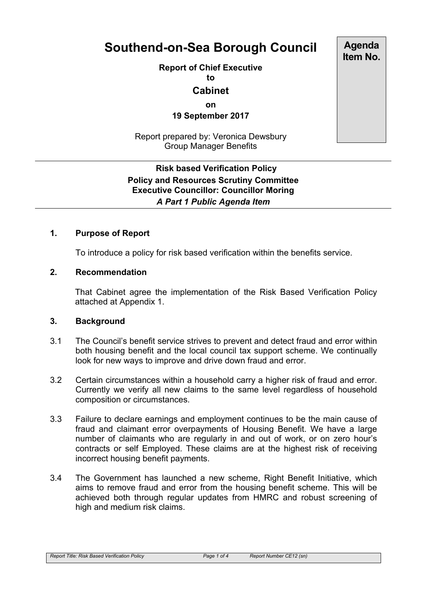# **Southend-on-Sea Borough Council**

**Report of Chief Executive**

**to**

## **Cabinet**

**on**

**19 September 2017**

Report prepared by: Veronica Dewsbury Group Manager Benefits

# **Risk based Verification Policy Policy and Resources Scrutiny Committee Executive Councillor: Councillor Moring** *A Part 1 Public Agenda Item*

#### **1. Purpose of Report**

To introduce a policy for risk based verification within the benefits service.

#### **2. Recommendation**

That Cabinet agree the implementation of the Risk Based Verification Policy attached at Appendix 1.

#### **3. Background**

- 3.1 The Council's benefit service strives to prevent and detect fraud and error within both housing benefit and the local council tax support scheme. We continually look for new ways to improve and drive down fraud and error.
- 3.2 Certain circumstances within a household carry a higher risk of fraud and error. Currently we verify all new claims to the same level regardless of household composition or circumstances.
- 3.3 Failure to declare earnings and employment continues to be the main cause of fraud and claimant error overpayments of Housing Benefit. We have a large number of claimants who are regularly in and out of work, or on zero hour's contracts or self Employed. These claims are at the highest risk of receiving incorrect housing benefit payments.
- 3.4 The Government has launched a new scheme, Right Benefit Initiative, which aims to remove fraud and error from the housing benefit scheme. This will be achieved both through regular updates from HMRC and robust screening of high and medium risk claims.

**Agenda Item No.**

*Report Title: Risk Based Verification Policy Page 1 of 4 Report Number CE12 (sn)*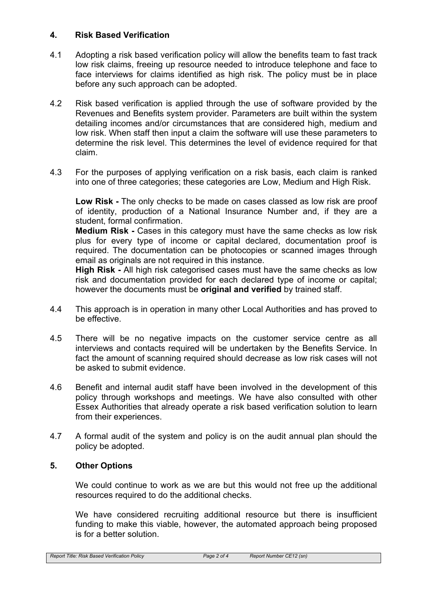#### **4. Risk Based Verification**

- 4.1 Adopting a risk based verification policy will allow the benefits team to fast track low risk claims, freeing up resource needed to introduce telephone and face to face interviews for claims identified as high risk. The policy must be in place before any such approach can be adopted.
- 4.2 Risk based verification is applied through the use of software provided by the Revenues and Benefits system provider. Parameters are built within the system detailing incomes and/or circumstances that are considered high, medium and low risk. When staff then input a claim the software will use these parameters to determine the risk level. This determines the level of evidence required for that claim.
- 4.3 For the purposes of applying verification on a risk basis, each claim is ranked into one of three categories; these categories are Low, Medium and High Risk.

**Low Risk -** The only checks to be made on cases classed as low risk are proof of identity, production of a National Insurance Number and, if they are a student, formal confirmation.

**Medium Risk -** Cases in this category must have the same checks as low risk plus for every type of income or capital declared, documentation proof is required. The documentation can be photocopies or scanned images through email as originals are not required in this instance.

**High Risk -** All high risk categorised cases must have the same checks as low risk and documentation provided for each declared type of income or capital; however the documents must be **original and verified** by trained staff.

- 4.4 This approach is in operation in many other Local Authorities and has proved to be effective.
- 4.5 There will be no negative impacts on the customer service centre as all interviews and contacts required will be undertaken by the Benefits Service. In fact the amount of scanning required should decrease as low risk cases will not be asked to submit evidence.
- 4.6 Benefit and internal audit staff have been involved in the development of this policy through workshops and meetings. We have also consulted with other Essex Authorities that already operate a risk based verification solution to learn from their experiences.
- 4.7 A formal audit of the system and policy is on the audit annual plan should the policy be adopted.

## **5. Other Options**

We could continue to work as we are but this would not free up the additional resources required to do the additional checks.

We have considered recruiting additional resource but there is insufficient funding to make this viable, however, the automated approach being proposed is for a better solution.

*Report Title: Risk Based Verification Policy Page 2 of 4 Report Number CE12 (sn)*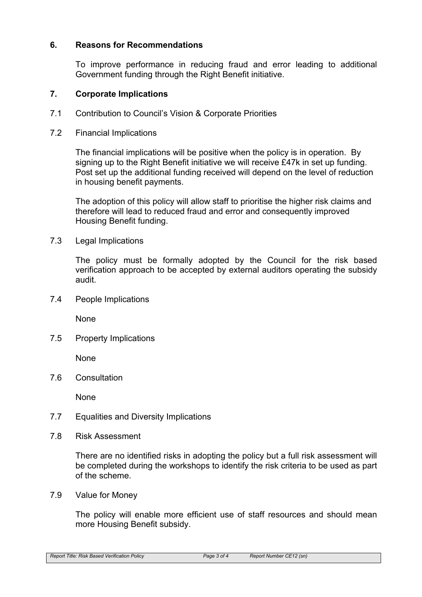#### **6. Reasons for Recommendations**

To improve performance in reducing fraud and error leading to additional Government funding through the Right Benefit initiative.

#### **7. Corporate Implications**

- 7.1 Contribution to Council's Vision & Corporate Priorities
- 7.2 Financial Implications

The financial implications will be positive when the policy is in operation. By signing up to the Right Benefit initiative we will receive £47k in set up funding. Post set up the additional funding received will depend on the level of reduction in housing benefit payments.

The adoption of this policy will allow staff to prioritise the higher risk claims and therefore will lead to reduced fraud and error and consequently improved Housing Benefit funding.

7.3 Legal Implications

The policy must be formally adopted by the Council for the risk based verification approach to be accepted by external auditors operating the subsidy audit.

7.4 People Implications

None

7.5 Property Implications

None

7.6 Consultation

None

- 7.7 Equalities and Diversity Implications
- 7.8 Risk Assessment

There are no identified risks in adopting the policy but a full risk assessment will be completed during the workshops to identify the risk criteria to be used as part of the scheme.

7.9 Value for Money

The policy will enable more efficient use of staff resources and should mean more Housing Benefit subsidy.

*Report Title: Risk Based Verification Policy Page 3 of 4 Report Number CE12 (sn)*